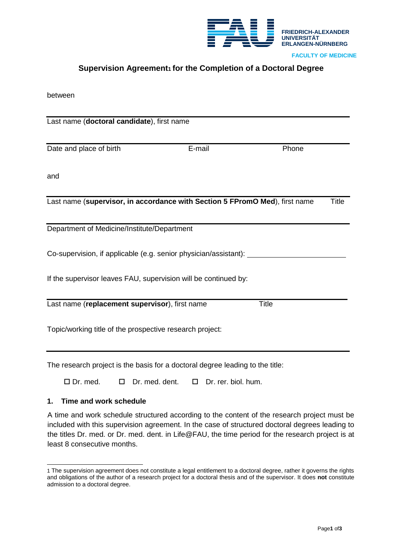

# **Supervision Agreement[1](#page-0-0) for the Completion of a Doctoral Degree**

| between |
|---------|
|---------|

| Last name (doctoral candidate), first name                                                  |        |              |  |  |
|---------------------------------------------------------------------------------------------|--------|--------------|--|--|
|                                                                                             |        |              |  |  |
| Date and place of birth                                                                     | E-mail | Phone        |  |  |
|                                                                                             |        |              |  |  |
| and                                                                                         |        |              |  |  |
|                                                                                             |        |              |  |  |
| Last name (supervisor, in accordance with Section 5 FPromO Med), first name<br><b>Title</b> |        |              |  |  |
|                                                                                             |        |              |  |  |
| Department of Medicine/Institute/Department                                                 |        |              |  |  |
|                                                                                             |        |              |  |  |
| Co-supervision, if applicable (e.g. senior physician/assistant):                            |        |              |  |  |
|                                                                                             |        |              |  |  |
| If the supervisor leaves FAU, supervision will be continued by:                             |        |              |  |  |
|                                                                                             |        |              |  |  |
| Last name (replacement supervisor), first name                                              |        | <b>Title</b> |  |  |
|                                                                                             |        |              |  |  |
| Topic/working title of the prospective research project:                                    |        |              |  |  |
|                                                                                             |        |              |  |  |

The research project is the basis for a doctoral degree leading to the title:

Dr. med. Dr. med. dent. Dr. rer. biol. hum.

## **1. Time and work schedule**

A time and work schedule structured according to the content of the research project must be included with this supervision agreement. In the case of structured doctoral degrees leading to the titles Dr. med. or Dr. med. dent. in Life@FAU, the time period for the research project is at least 8 consecutive months.

<span id="page-0-0"></span><sup>1</sup> The supervision agreement does not constitute a legal entitlement to a doctoral degree, rather it governs the rights and obligations of the author of a research project for a doctoral thesis and of the supervisor. It does **not** constitute admission to a doctoral degree.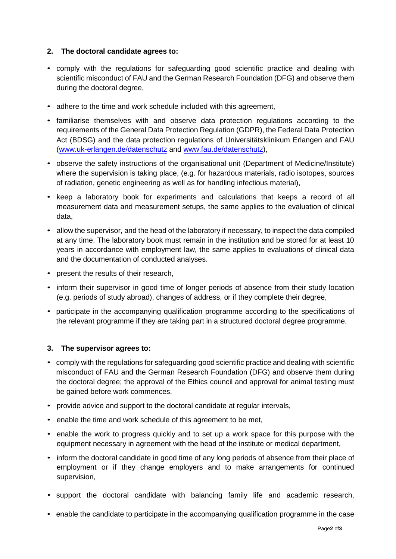## **2. The doctoral candidate agrees to:**

- comply with the regulations for safeguarding good scientific practice and dealing with scientific misconduct of FAU and the German Research Foundation (DFG) and observe them during the doctoral degree,
- adhere to the time and work schedule included with this agreement,
- familiarise themselves with and observe data protection regulations according to the requirements of the General Data Protection Regulation (GDPR), the Federal Data Protection Act (BDSG) and the data protection regulations of Universitätsklinikum Erlangen and FAU [\(www.uk-erlangen.de/datenschutz](http://www.uk-erlangen.de/datenschutz) and [www.fau.de/datenschutz\)](http://www.fau.de/datenschutz),
- observe the safety instructions of the organisational unit (Department of Medicine/Institute) where the supervision is taking place, (e.g. for hazardous materials, radio isotopes, sources of radiation, genetic engineering as well as for handling infectious material),
- keep a laboratory book for experiments and calculations that keeps a record of all measurement data and measurement setups, the same applies to the evaluation of clinical data,
- allow the supervisor, and the head of the laboratory if necessary, to inspect the data compiled at any time. The laboratory book must remain in the institution and be stored for at least 10 years in accordance with employment law, the same applies to evaluations of clinical data and the documentation of conducted analyses.
- present the results of their research,
- inform their supervisor in good time of longer periods of absence from their study location (e.g. periods of study abroad), changes of address, or if they complete their degree,
- participate in the accompanying qualification programme according to the specifications of the relevant programme if they are taking part in a structured doctoral degree programme.

## **3. The supervisor agrees to:**

- comply with the regulations for safeguarding good scientific practice and dealing with scientific misconduct of FAU and the German Research Foundation (DFG) and observe them during the doctoral degree; the approval of the Ethics council and approval for animal testing must be gained before work commences,
- provide advice and support to the doctoral candidate at regular intervals,
- enable the time and work schedule of this agreement to be met,
- enable the work to progress quickly and to set up a work space for this purpose with the equipment necessary in agreement with the head of the institute or medical department,
- inform the doctoral candidate in good time of any long periods of absence from their place of employment or if they change employers and to make arrangements for continued supervision,
- support the doctoral candidate with balancing family life and academic research,
- enable the candidate to participate in the accompanying qualification programme in the case